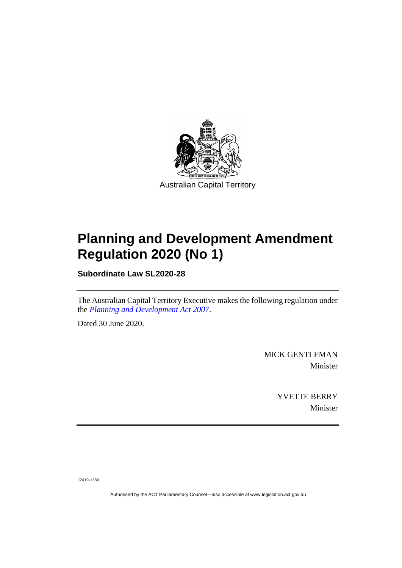

# **Planning and Development Amendment Regulation 2020 (No 1)**

**Subordinate Law SL2020-28**

The Australian Capital Territory Executive makes the following regulation under the *[Planning and Development Act 2007](http://www.legislation.act.gov.au/a/2007-24)*.

Dated 30 June 2020.

MICK GENTLEMAN Minister

> YVETTE BERRY Minister

J2019-1389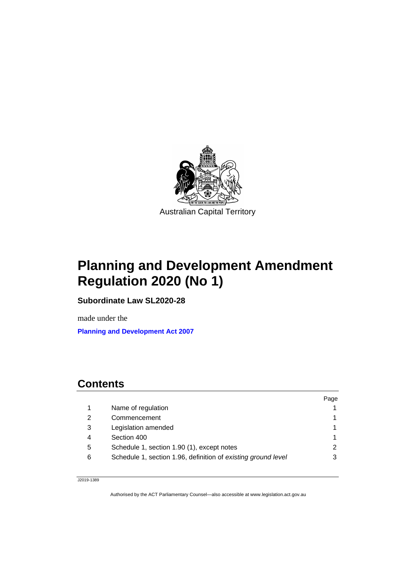

# **Planning and Development Amendment Regulation 2020 (No 1)**

**Subordinate Law SL2020-28**

made under the **[Planning and Development Act 2007](http://www.legislation.act.gov.au/a/2007-24)**

# **Contents**

|   |                                                               | Page |
|---|---------------------------------------------------------------|------|
|   | Name of regulation                                            |      |
| 2 | Commencement                                                  |      |
| 3 | Legislation amended                                           |      |
|   | Section 400                                                   |      |
| 5 | Schedule 1, section 1.90 (1), except notes                    |      |
| 6 | Schedule 1, section 1.96, definition of existing ground level |      |
|   |                                                               |      |

J2019-1389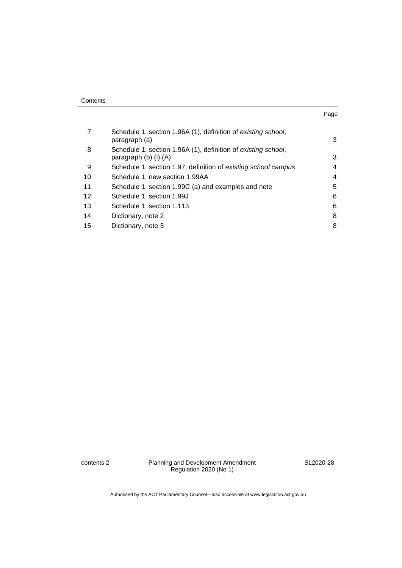| Contents |
|----------|
|----------|

| . .<br>۰.<br>× |  |
|----------------|--|
|                |  |

|                 | Schedule 1, section 1.96A (1), definition of existing school,<br>paragraph (a)         | 3 |
|-----------------|----------------------------------------------------------------------------------------|---|
| 8               | Schedule 1, section 1.96A (1), definition of existing school,<br>paragraph (b) (i) (A) | 3 |
| 9               | Schedule 1, section 1.97, definition of existing school campus                         | 4 |
| 10              | Schedule 1, new section 1.99AA                                                         | 4 |
| 11              | Schedule 1, section 1.99C (a) and examples and note                                    | 5 |
| 12 <sup>2</sup> | Schedule 1, section 1.99J                                                              | 6 |
| 13              | Schedule 1, section 1.113                                                              | 6 |
| 14              | Dictionary, note 2                                                                     | 8 |
| 15              | Dictionary, note 3                                                                     | 8 |

contents 2 Planning and Development Amendment Regulation 2020 (No 1)

SL2020-28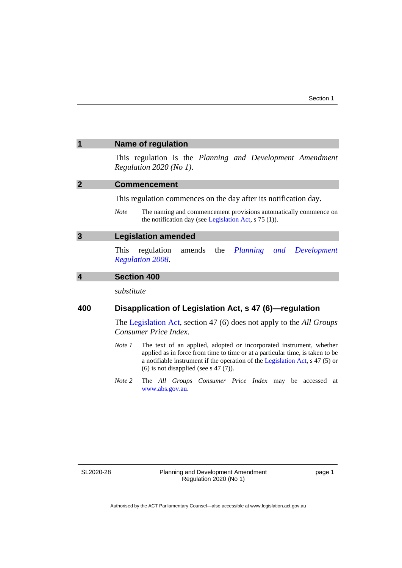<span id="page-4-3"></span><span id="page-4-2"></span><span id="page-4-1"></span><span id="page-4-0"></span>

|                                                               | <b>Name of regulation</b>                                                                                                                                                                                                                                                                    |  |
|---------------------------------------------------------------|----------------------------------------------------------------------------------------------------------------------------------------------------------------------------------------------------------------------------------------------------------------------------------------------|--|
|                                                               | This regulation is the Planning and Development Amendment<br>Regulation 2020 (No 1).                                                                                                                                                                                                         |  |
| $\overline{2}$                                                | <b>Commencement</b>                                                                                                                                                                                                                                                                          |  |
|                                                               | This regulation commences on the day after its notification day.                                                                                                                                                                                                                             |  |
|                                                               | <b>Note</b><br>The naming and commencement provisions automatically commence on<br>the notification day (see Legislation Act, $s$ 75 (1)).                                                                                                                                                   |  |
| 3                                                             | <b>Legislation amended</b>                                                                                                                                                                                                                                                                   |  |
|                                                               | regulation<br>amends<br>the<br>This<br>Planning and<br>Development<br><b>Regulation 2008.</b>                                                                                                                                                                                                |  |
| $\overline{\mathbf{4}}$                                       | <b>Section 400</b>                                                                                                                                                                                                                                                                           |  |
|                                                               | substitute                                                                                                                                                                                                                                                                                   |  |
| 400<br>Disapplication of Legislation Act, s 47 (6)-regulation |                                                                                                                                                                                                                                                                                              |  |
|                                                               | The Legislation Act, section 47 (6) does not apply to the <i>All Groups</i><br>Consumer Price Index.                                                                                                                                                                                         |  |
|                                                               | Note 1<br>The text of an applied, adopted or incorporated instrument, whether<br>applied as in force from time to time or at a particular time, is taken to be<br>a notifiable instrument if the operation of the Legislation Act, s 47 (5) or<br>$(6)$ is not disapplied (see s 47 $(7)$ ). |  |
|                                                               | Note 2<br>The All Groups Consumer Price Index may be accessed at<br>www.abs.gov.au.                                                                                                                                                                                                          |  |
|                                                               |                                                                                                                                                                                                                                                                                              |  |

SL2020-28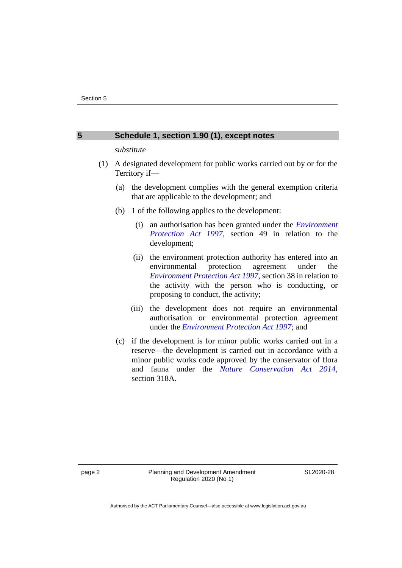#### <span id="page-5-0"></span>**5 Schedule 1, section 1.90 (1), except notes**

#### *substitute*

- (1) A designated development for public works carried out by or for the Territory if—
	- (a) the development complies with the general exemption criteria that are applicable to the development; and
	- (b) 1 of the following applies to the development:
		- (i) an authorisation has been granted under the *[Environment](http://www.legislation.act.gov.au/a/1997-92)  [Protection Act 1997](http://www.legislation.act.gov.au/a/1997-92)*, section 49 in relation to the development;
		- (ii) the environment protection authority has entered into an environmental protection agreement under the *[Environment Protection Act 1997](http://www.legislation.act.gov.au/a/1997-92)*, section 38 in relation to the activity with the person who is conducting, or proposing to conduct, the activity;
		- (iii) the development does not require an environmental authorisation or environmental protection agreement under the *[Environment Protection Act 1997](http://www.legislation.act.gov.au/a/1997-92)*; and
	- (c) if the development is for minor public works carried out in a reserve—the development is carried out in accordance with a minor public works code approved by the conservator of flora and fauna under the *[Nature Conservation Act 2014](https://www.legislation.act.gov.au/a/2014-59)*, section 318A.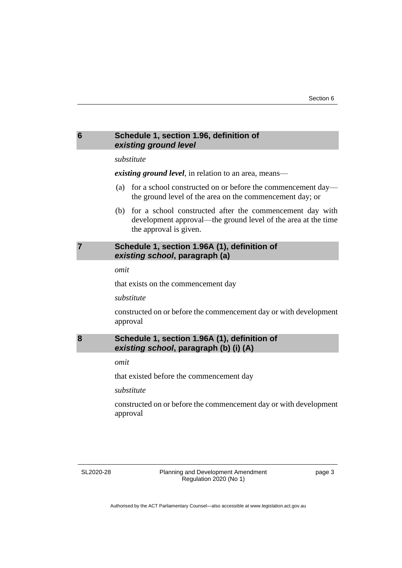# <span id="page-6-0"></span>**6 Schedule 1, section 1.96, definition of**  *existing ground level substitute*

*existing ground level*, in relation to an area, means—

- (a) for a school constructed on or before the commencement day the ground level of the area on the commencement day; or
- (b) for a school constructed after the commencement day with development approval—the ground level of the area at the time the approval is given.

# <span id="page-6-1"></span>**7 Schedule 1, section 1.96A (1), definition of**  *existing school***, paragraph (a)**

*omit*

that exists on the commencement day

*substitute*

constructed on or before the commencement day or with development approval

## <span id="page-6-2"></span>**8 Schedule 1, section 1.96A (1), definition of**  *existing school***, paragraph (b) (i) (A)**

*omit*

that existed before the commencement day

*substitute*

constructed on or before the commencement day or with development approval

SL2020-28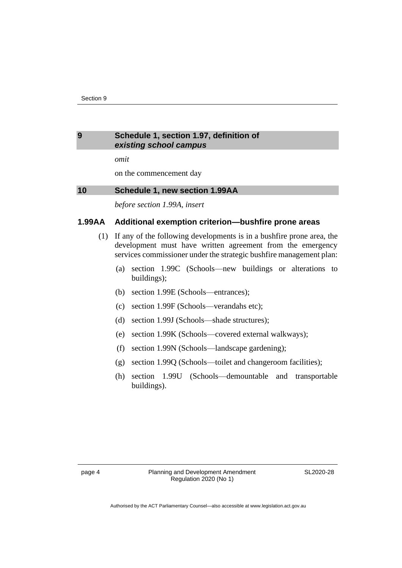#### <span id="page-7-0"></span>**9 Schedule 1, section 1.97, definition of**  *existing school campus*

*omit*

on the commencement day

### <span id="page-7-1"></span>**10 Schedule 1, new section 1.99AA**

*before section 1.99A, insert*

#### **1.99AA Additional exemption criterion—bushfire prone areas**

- (1) If any of the following developments is in a bushfire prone area, the development must have written agreement from the emergency services commissioner under the strategic bushfire management plan:
	- (a) section 1.99C (Schools—new buildings or alterations to buildings);
	- (b) section 1.99E (Schools—entrances);
	- (c) section 1.99F (Schools—verandahs etc);
	- (d) section 1.99J (Schools—shade structures);
	- (e) section 1.99K (Schools—covered external walkways);
	- (f) section 1.99N (Schools—landscape gardening);
	- (g) section 1.99Q (Schools—toilet and changeroom facilities);
	- (h) section 1.99U (Schools—demountable and transportable buildings).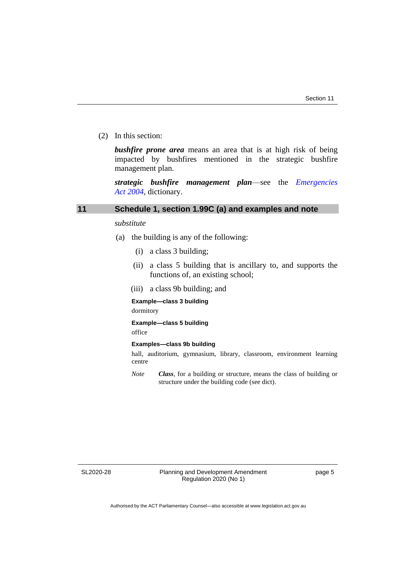(2) In this section:

*bushfire prone area* means an area that is at high risk of being impacted by bushfires mentioned in the strategic bushfire management plan.

*strategic bushfire management plan*—see the *[Emergencies](http://www.legislation.act.gov.au/a/2004-28)  Act [2004](http://www.legislation.act.gov.au/a/2004-28)*, dictionary.

#### <span id="page-8-0"></span>**11 Schedule 1, section 1.99C (a) and examples and note**

#### *substitute*

- (a) the building is any of the following:
	- (i) a class 3 building;
	- (ii) a class 5 building that is ancillary to, and supports the functions of, an existing school;
	- (iii) a class 9b building; and

#### **Example—class 3 building**

dormitory

#### **Example—class 5 building**

office

#### **Examples—class 9b building**

hall, auditorium, gymnasium, library, classroom, environment learning centre

*Note Class*, for a building or structure, means the class of building or structure under the building code (see dict).

SL2020-28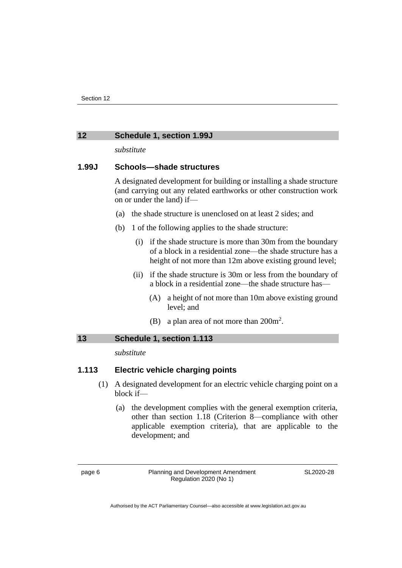#### <span id="page-9-0"></span>**12 Schedule 1, section 1.99J**

*substitute*

## **1.99J Schools—shade structures**

A designated development for building or installing a shade structure (and carrying out any related earthworks or other construction work on or under the land) if—

- (a) the shade structure is unenclosed on at least 2 sides; and
- (b) 1 of the following applies to the shade structure:
	- (i) if the shade structure is more than 30m from the boundary of a block in a residential zone—the shade structure has a height of not more than 12m above existing ground level;
	- (ii) if the shade structure is 30m or less from the boundary of a block in a residential zone—the shade structure has—
		- (A) a height of not more than 10m above existing ground level; and
		- (B) a plan area of not more than  $200m^2$ .

## <span id="page-9-1"></span>**13 Schedule 1, section 1.113**

*substitute*

# **1.113 Electric vehicle charging points**

- (1) A designated development for an electric vehicle charging point on a block if—
	- (a) the development complies with the general exemption criteria, other than section 1.18 (Criterion 8—compliance with other applicable exemption criteria), that are applicable to the development; and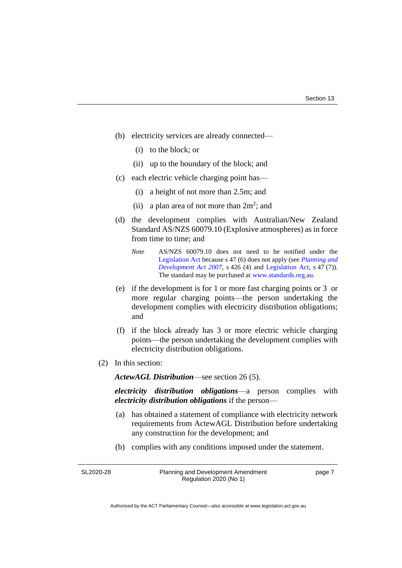- (b) electricity services are already connected—
	- (i) to the block; or
	- (ii) up to the boundary of the block; and
- (c) each electric vehicle charging point has—
	- (i) a height of not more than 2.5m; and
	- (ii) a plan area of not more than  $2m^2$ ; and
- (d) the development complies with Australian/New Zealand Standard AS/NZS 60079.10 (Explosive atmospheres) as in force from time to time; and
	- *Note* AS/NZS 60079.10 does not need to be notified under the [Legislation Act](http://www.legislation.act.gov.au/a/2001-14) because s 47 (6) does not apply (see *[Planning and](http://www.legislation.act.gov.au/a/2007-24)  [Development Act 2007](http://www.legislation.act.gov.au/a/2007-24)*, s 426 (4) and [Legislation Act,](http://www.legislation.act.gov.au/a/2001-14) s 47 (7)). The standard may be purchased at [www.standards.org.au.](http://www.standards.org.au/)
- (e) if the development is for 1 or more fast charging points or 3 or more regular charging points—the person undertaking the development complies with electricity distribution obligations; and
- (f) if the block already has 3 or more electric vehicle charging points—the person undertaking the development complies with electricity distribution obligations.
- (2) In this section:

*ActewAGL Distribution*—see section 26 (5).

*electricity distribution obligations*—a person complies with *electricity distribution obligations* if the person—

- (a) has obtained a statement of compliance with electricity network requirements from ActewAGL Distribution before undertaking any construction for the development; and
- (b) complies with any conditions imposed under the statement.

SL2020-28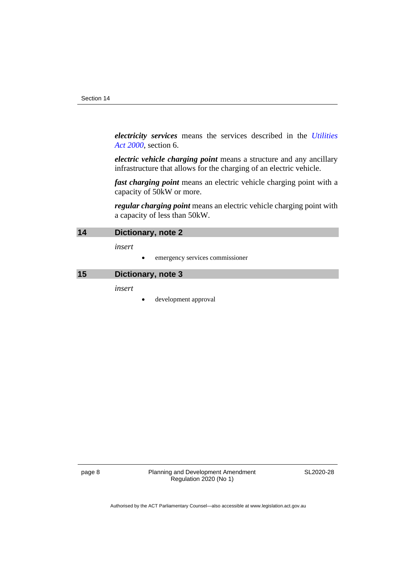*electricity services* means the services described in the *[Utilities](http://www.legislation.act.gov.au/a/2000-65)  Act [2000](http://www.legislation.act.gov.au/a/2000-65)*, section 6.

*electric vehicle charging point* means a structure and any ancillary infrastructure that allows for the charging of an electric vehicle.

*fast charging point* means an electric vehicle charging point with a capacity of 50kW or more.

*regular charging point* means an electric vehicle charging point with a capacity of less than 50kW.

<span id="page-11-0"></span>

| 14 | Dictionary, note 2 |
|----|--------------------|
|----|--------------------|

*insert*

• emergency services commissioner

<span id="page-11-1"></span>**15 Dictionary, note 3**

*insert*

development approval

page 8 Planning and Development Amendment Regulation 2020 (No 1)